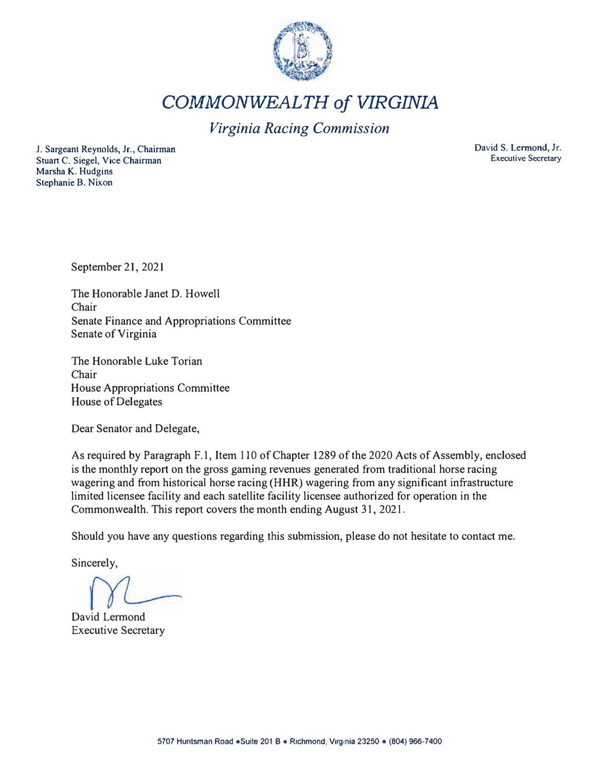

*COMMONWEALTH of VIRGINIA* 

# *Virginia Racing Commission*

J. Sargeant Reynolds, Jr., Chairman Stuart C. Siegel, Vice Chairman Marsha K. Hudgins Stephanie B. Nixon

David S. Lermond, Jr. Executive Secretary

September 21, 2021

The Honorable Janet D. Howell Chair Senate Finance and Appropriations Committee Senate of Virginia

The Honorable Luke Torian Chair House Appropriations Committee House of Delegates

Dear Senator and Delegate,

As required by Paragraph F.1, Item 110 of Chapter 1289 of the 2020 Acts of Assembly, enclosed is the monthly report on the gross gaming revenues generated from traditional horse racing wagering and from historical horse racing (HHR) wagering from any significant infrastructure limited licensee facility and each satellite facility licensee authorized for operation in the Commonwealth. This report covers the month ending August 31, 2021.

Should you have any questions regarding this submission, please do not hesitate to contact me.

Sincerely,

David Lermond Executive Secretary